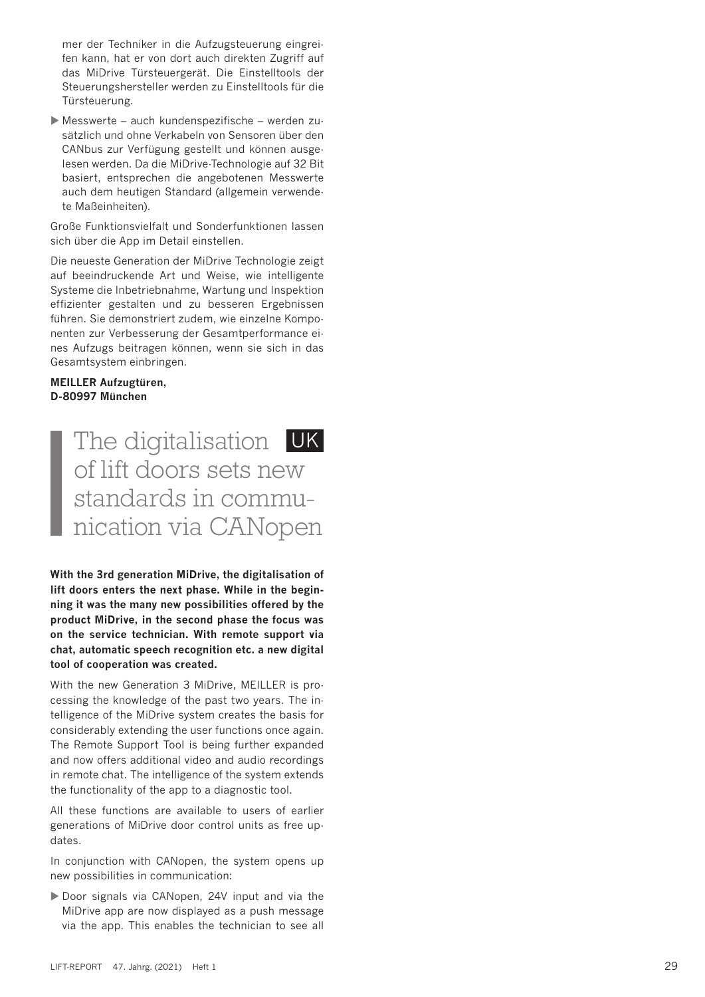The digitalisation UK of lift doors sets new standards in communication via CANopen

**With the 3rd generation MiDrive, the digitalisation of lift doors enters the next phase. While in the beginning it was the many new possibilities offered by the product MiDrive, in the second phase the focus was on the service technician. With remote support via chat, automatic speech recognition etc. a new digital tool of cooperation was created.** 

With the new Generation 3 MiDrive, MEILLER is processing the knowledge of the past two years. The intelligence of the MiDrive system creates the basis for considerably extending the user functions once again. The Remote Support Tool is being further expanded and now offers additional video and audio recordings in remote chat. The intelligence of the system extends the functionality of the app to a diagnostic tool.

All these functions are available to users of earlier generations of MiDrive door control units as free updates.

In conjunction with CANopen, the system opens up new possibilities in communication:

Door signals via CANopen, 24V input and via the MiDrive app are now displayed as a push message via the app. This enables the technician to see all